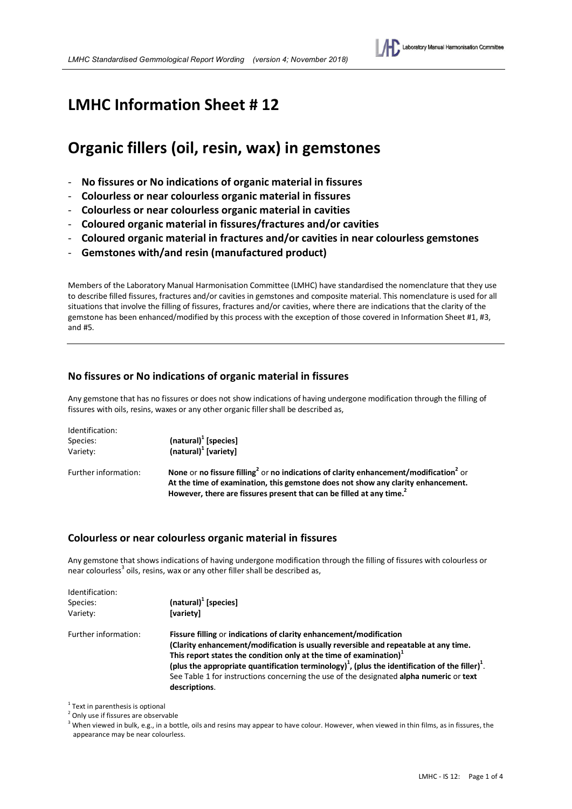## **LMHC Information Sheet # 12**

# **Organic fillers (oil, resin, wax) in gemstones**

- **No fissures or No indications of organic material in fissures**
- **Colourless or near colourless organic material in fissures**
- **Colourless or near colourless organic material in cavities**
- **Coloured organic material in fissures/fractures and/or cavities**
- **Coloured organic material in fractures and/or cavities in near colourless gemstones**
- **Gemstones with/and resin (manufactured product)**

Members of the Laboratory Manual Harmonisation Committee (LMHC) have standardised the nomenclature that they use to describe filled fissures, fractures and/or cavities in gemstones and composite material. This nomenclature is used for all situations that involve the filling of fissures, fractures and/or cavities, where there are indications that the clarity of the gemstone has been enhanced/modified by this process with the exception of those covered in Information Sheet #1, #3, and #5.

### **No fissures or No indications of organic material in fissures**

Any gemstone that has no fissures or does not show indications of having undergone modification through the filling of fissures with oils, resins, waxes or any other organic filler shall be described as,

| Identification:      |                                                                                                                                                                                                                                                                                       |
|----------------------|---------------------------------------------------------------------------------------------------------------------------------------------------------------------------------------------------------------------------------------------------------------------------------------|
| Species:             | $(natural)1$ [species]                                                                                                                                                                                                                                                                |
| Variety:             | $(natural)1$ [variety]                                                                                                                                                                                                                                                                |
| Further information: | None or no fissure filling <sup>2</sup> or no indications of clarity enhancement/modification <sup>2</sup> or<br>At the time of examination, this gemstone does not show any clarity enhancement.<br>However, there are fissures present that can be filled at any time. <sup>2</sup> |

### **Colourless or near colourless organic material in fissures**

Any gemstone that shows indications of having undergone modification through the filling of fissures with colourless or near colourless<sup>3</sup> oils, resins, wax or any other filler shall be described as,

| Identification:<br>Species:<br>Variety: | (natural) <sup>1</sup> [species]<br>[variety]                                                                                                                                                                                                                                                                                                                                                                                                                                      |
|-----------------------------------------|------------------------------------------------------------------------------------------------------------------------------------------------------------------------------------------------------------------------------------------------------------------------------------------------------------------------------------------------------------------------------------------------------------------------------------------------------------------------------------|
| Further information:                    | Fissure filling or indications of clarity enhancement/modification<br>(Clarity enhancement/modification is usually reversible and repeatable at any time.<br>This report states the condition only at the time of examination) <sup>1</sup><br>(plus the appropriate quantification terminology) <sup>1</sup> , (plus the identification of the filler) <sup>1</sup> .<br>See Table 1 for instructions concerning the use of the designated alpha numeric or text<br>descriptions. |

 $1$  Text in parenthesis is optional

<sup>2</sup> Only use if fissures are observable

<sup>3</sup> When viewed in bulk, e.g., in a bottle, oils and resins may appear to have colour. However, when viewed in thin films, as in fissures, the appearance may be near colourless.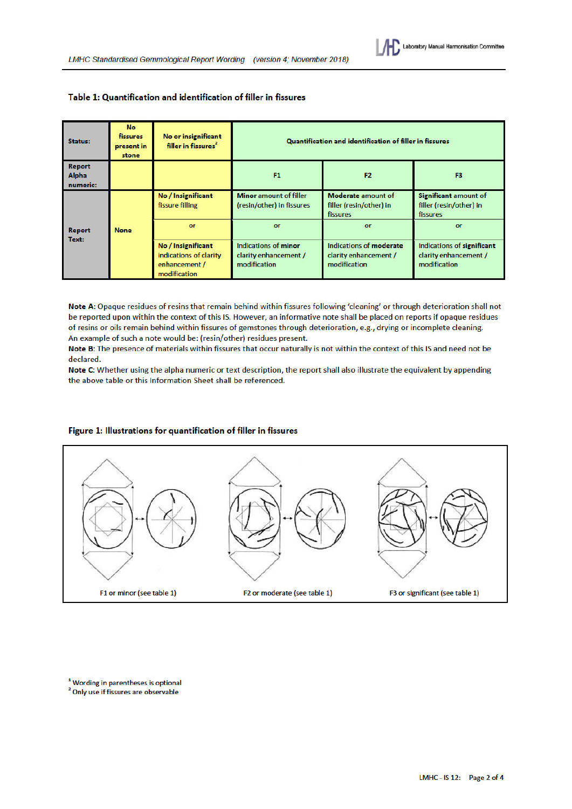| Status:                                   | <b>No</b><br><b>fissures</b><br>present in<br>stone | No or insignificant<br>filler in fissures <sup>2</sup>                        | Quantification and identification of filler in fissures       |                                                                  |                                                                     |
|-------------------------------------------|-----------------------------------------------------|-------------------------------------------------------------------------------|---------------------------------------------------------------|------------------------------------------------------------------|---------------------------------------------------------------------|
| <b>Report</b><br><b>Alpha</b><br>numeric: |                                                     |                                                                               | <b>F1</b>                                                     | F <sub>2</sub>                                                   | F <sub>3</sub>                                                      |
| <b>Report</b><br>Text:                    | <b>None</b>                                         | No / Insignificant<br>fissure filling                                         | <b>Minor</b> amount of filler<br>(resin/other) in fissures    | Moderate amount of<br>filler (resin/other) in<br>fissures        | Significant amount of<br>filler (resin/other) in<br>fissures        |
|                                           |                                                     | or                                                                            | or                                                            | or                                                               | or                                                                  |
|                                           |                                                     | No / Insignificant<br>indications of clarity<br>enhancement /<br>modification | Indications of minor<br>clarity enhancement /<br>modification | Indications of moderate<br>clarity enhancement /<br>modification | Indications of significant<br>clarity enhancement /<br>modification |

#### Table 1: Quantification and identification of filler in fissures

Note A: Opaque residues of resins that remain behind within fissures following 'cleaning' or through deterioration shall not be reported upon within the context of this IS. However, an informative note shall be placed on reports if opaque residues of resins or oils remain behind within fissures of gemstones through deterioration, e.g., drying or incomplete cleaning. An example of such a note would be: (resin/other) residues present.

Note B: The presence of materials within fissures that occur naturally is not within the context of this IS and need not be declared.

Note C: Whether using the alpha numeric or text description, the report shall also illustrate the equivalent by appending the above table or this Information Sheet shall be referenced.



#### Figure 1: Illustrations for quantification of filler in fissures

<sup>1</sup> Wording in parentheses is optional

<sup>2</sup> Only use if fissures are observable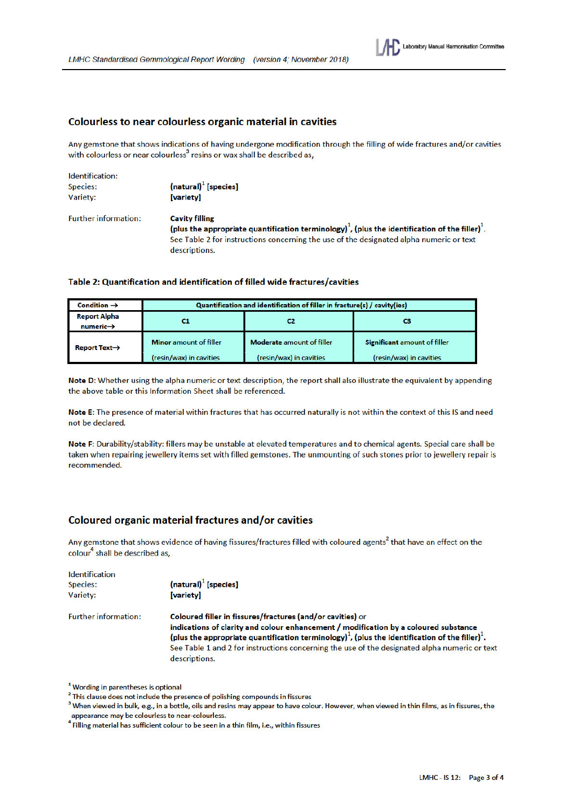

Any gemstone that shows indications of having undergone modification through the filling of wide fractures and/or cavities with colourless or near colourless<sup>3</sup> resins or wax shall be described as.

| Identification:             |                                                                                                                         |  |
|-----------------------------|-------------------------------------------------------------------------------------------------------------------------|--|
| Species:                    | $(natural)1$ [species]                                                                                                  |  |
| Variety:                    | <b>[variety]</b>                                                                                                        |  |
| <b>Further information:</b> | <b>Cavity filling</b>                                                                                                   |  |
|                             | (plus the appropriate quantification terminology) <sup>1</sup> , (plus the identification of the filler) <sup>1</sup> . |  |
|                             | See Table 2 for instructions concerning the use of the designated alpha numeric or text                                 |  |
|                             | descriptions.                                                                                                           |  |

#### Table 2: Quantification and identification of filled wide fractures/cavities

| Condition $\rightarrow$                      | Quantification and identification of filler in fracture(s) / cavity(ies) |                                  |                              |
|----------------------------------------------|--------------------------------------------------------------------------|----------------------------------|------------------------------|
| <b>Report Alpha</b><br>$numeric \rightarrow$ |                                                                          |                                  | сз                           |
| Report Text $\rightarrow$                    | <b>Minor</b> amount of filler                                            | <b>Moderate</b> amount of filler | Significant amount of filler |
|                                              | (resin/wax) in cavities                                                  | (resin/wax) in cavities          | (resin/wax) in cavities      |

Note D: Whether using the alpha numeric or text description, the report shall also illustrate the equivalent by appending the above table or this Information Sheet shall be referenced.

Note E: The presence of material within fractures that has occurred naturally is not within the context of this IS and need not be declared.

Note F: Durability/stability: fillers may be unstable at elevated temperatures and to chemical agents. Special care shall be taken when repairing jewellery items set with filled gemstones. The unmounting of such stones prior to jewellery repair is recommended.

## **Coloured organic material fractures and/or cavities**

Any gemstone that shows evidence of having fissures/fractures filled with coloured agents<sup>2</sup> that have an effect on the colour<sup>4</sup> shall be described as,

| <b>Identification</b><br>Species:<br>Variety: | $(natural)1$ [species]<br><b>[variety]</b>                                                                                                                                                                                                                                                                                                                                                      |
|-----------------------------------------------|-------------------------------------------------------------------------------------------------------------------------------------------------------------------------------------------------------------------------------------------------------------------------------------------------------------------------------------------------------------------------------------------------|
| <b>Further information:</b>                   | Coloured filler in fissures/fractures (and/or cavities) or<br>indications of clarity and colour enhancement / modification by a coloured substance<br>(plus the appropriate quantification terminology) <sup>1</sup> , (plus the identification of the filler) <sup>1</sup> .<br>See Table 1 and 2 for instructions concerning the use of the designated alpha numeric or text<br>descriptions. |

<sup>1</sup> Wording in parentheses is optional

<sup>3</sup> When viewed in bulk, e.g., in a bottle, oils and resins may appear to have colour. However, when viewed in thin films, as in fissures, the appearance may be colourless to near-colourless.

<sup>4</sup> Filling material has sufficient colour to be seen in a thin film, i.e., within fissures

<sup>&</sup>lt;sup>2</sup> This clause does not include the presence of polishing compounds in fissures